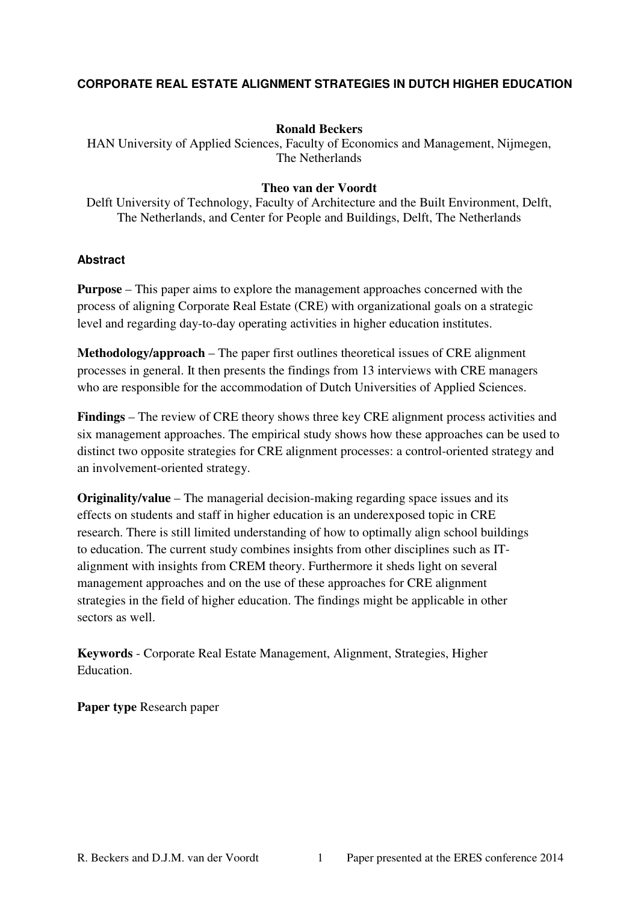## **CORPORATE REAL ESTATE ALIGNMENT STRATEGIES IN DUTCH HIGHER EDUCATION**

### **Ronald Beckers**

HAN University of Applied Sciences, Faculty of Economics and Management, Nijmegen, The Netherlands

### **Theo van der Voordt**

Delft University of Technology, Faculty of Architecture and the Built Environment, Delft, The Netherlands, and Center for People and Buildings, Delft, The Netherlands

#### **Abstract**

**Purpose** – This paper aims to explore the management approaches concerned with the process of aligning Corporate Real Estate (CRE) with organizational goals on a strategic level and regarding day-to-day operating activities in higher education institutes.

**Methodology/approach** – The paper first outlines theoretical issues of CRE alignment processes in general. It then presents the findings from 13 interviews with CRE managers who are responsible for the accommodation of Dutch Universities of Applied Sciences.

**Findings** – The review of CRE theory shows three key CRE alignment process activities and six management approaches. The empirical study shows how these approaches can be used to distinct two opposite strategies for CRE alignment processes: a control-oriented strategy and an involvement-oriented strategy.

**Originality/value** – The managerial decision-making regarding space issues and its effects on students and staff in higher education is an underexposed topic in CRE research. There is still limited understanding of how to optimally align school buildings to education. The current study combines insights from other disciplines such as ITalignment with insights from CREM theory. Furthermore it sheds light on several management approaches and on the use of these approaches for CRE alignment strategies in the field of higher education. The findings might be applicable in other sectors as well.

**Keywords** - Corporate Real Estate Management, Alignment, Strategies, Higher Education.

**Paper type** Research paper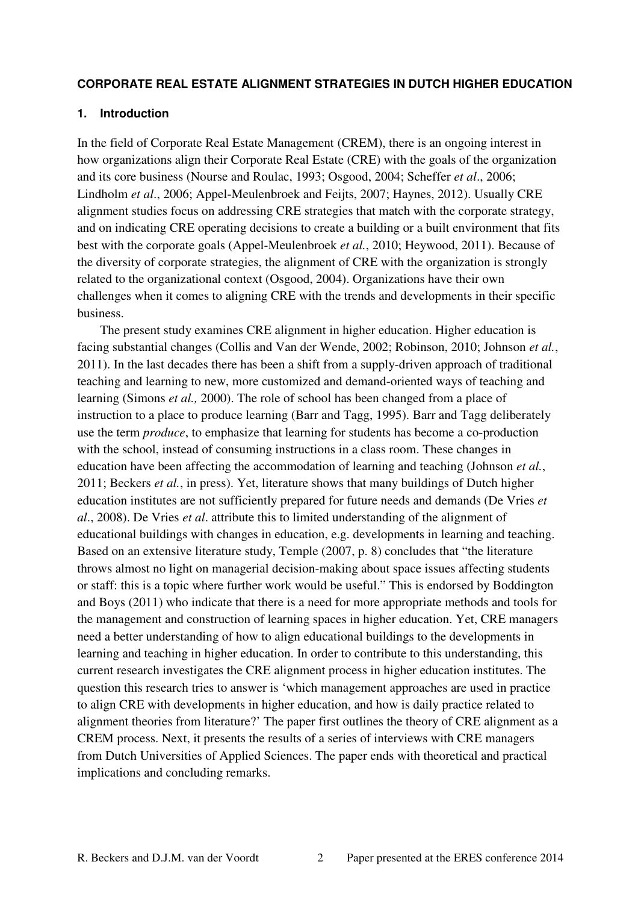#### **CORPORATE REAL ESTATE ALIGNMENT STRATEGIES IN DUTCH HIGHER EDUCATION**

### **1. Introduction**

In the field of Corporate Real Estate Management (CREM), there is an ongoing interest in how organizations align their Corporate Real Estate (CRE) with the goals of the organization and its core business (Nourse and Roulac, 1993; Osgood, 2004; Scheffer *et al*., 2006; Lindholm *et al*., 2006; Appel-Meulenbroek and Feijts, 2007; Haynes, 2012). Usually CRE alignment studies focus on addressing CRE strategies that match with the corporate strategy, and on indicating CRE operating decisions to create a building or a built environment that fits best with the corporate goals (Appel-Meulenbroek *et al.*, 2010; Heywood, 2011). Because of the diversity of corporate strategies, the alignment of CRE with the organization is strongly related to the organizational context (Osgood, 2004). Organizations have their own challenges when it comes to aligning CRE with the trends and developments in their specific business.

 The present study examines CRE alignment in higher education. Higher education is facing substantial changes (Collis and Van der Wende, 2002; Robinson, 2010; Johnson *et al.*, 2011). In the last decades there has been a shift from a supply-driven approach of traditional teaching and learning to new, more customized and demand-oriented ways of teaching and learning (Simons *et al.,* 2000). The role of school has been changed from a place of instruction to a place to produce learning (Barr and Tagg, 1995). Barr and Tagg deliberately use the term *produce*, to emphasize that learning for students has become a co-production with the school, instead of consuming instructions in a class room. These changes in education have been affecting the accommodation of learning and teaching (Johnson *et al.*, 2011; Beckers *et al.*, in press). Yet, literature shows that many buildings of Dutch higher education institutes are not sufficiently prepared for future needs and demands (De Vries *et al*., 2008). De Vries *et al*. attribute this to limited understanding of the alignment of educational buildings with changes in education, e.g. developments in learning and teaching. Based on an extensive literature study, Temple (2007, p. 8) concludes that "the literature throws almost no light on managerial decision-making about space issues affecting students or staff: this is a topic where further work would be useful." This is endorsed by Boddington and Boys (2011) who indicate that there is a need for more appropriate methods and tools for the management and construction of learning spaces in higher education. Yet, CRE managers need a better understanding of how to align educational buildings to the developments in learning and teaching in higher education. In order to contribute to this understanding, this current research investigates the CRE alignment process in higher education institutes. The question this research tries to answer is 'which management approaches are used in practice to align CRE with developments in higher education, and how is daily practice related to alignment theories from literature?' The paper first outlines the theory of CRE alignment as a CREM process. Next, it presents the results of a series of interviews with CRE managers from Dutch Universities of Applied Sciences. The paper ends with theoretical and practical implications and concluding remarks.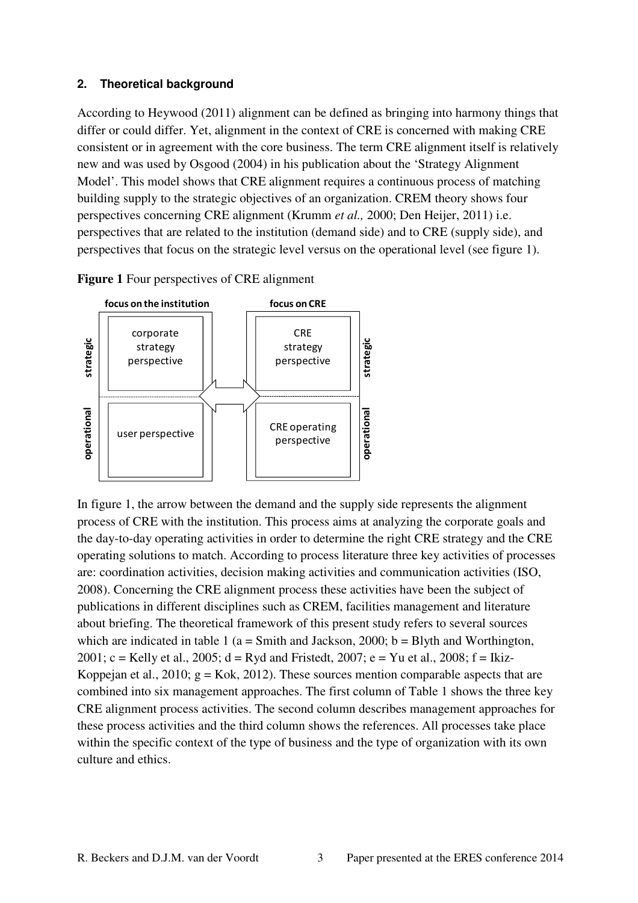## **2. Theoretical background**

According to Heywood (2011) alignment can be defined as bringing into harmony things that differ or could differ. Yet, alignment in the context of CRE is concerned with making CRE consistent or in agreement with the core business. The term CRE alignment itself is relatively new and was used by Osgood (2004) in his publication about the 'Strategy Alignment Model'. This model shows that CRE alignment requires a continuous process of matching building supply to the strategic objectives of an organization. CREM theory shows four perspectives concerning CRE alignment (Krumm *et al.,* 2000; Den Heijer, 2011) i.e. perspectives that are related to the institution (demand side) and to CRE (supply side), and perspectives that focus on the strategic level versus on the operational level (see figure 1).

**Figure 1** Four perspectives of CRE alignment



In figure 1, the arrow between the demand and the supply side represents the alignment process of CRE with the institution. This process aims at analyzing the corporate goals and the day-to-day operating activities in order to determine the right CRE strategy and the CRE operating solutions to match. According to process literature three key activities of processes are: coordination activities, decision making activities and communication activities (ISO, 2008). Concerning the CRE alignment process these activities have been the subject of publications in different disciplines such as CREM, facilities management and literature about briefing. The theoretical framework of this present study refers to several sources which are indicated in table 1 ( $a = S$  mith and Jackson, 2000;  $b = B$  lyth and Worthington, 2001; c = Kelly et al., 2005;  $d = Ryd$  and Fristedt, 2007; e = Yu et al., 2008; f = Ikiz-Koppejan et al., 2010;  $g = K \circ k$ , 2012). These sources mention comparable aspects that are combined into six management approaches. The first column of Table 1 shows the three key CRE alignment process activities. The second column describes management approaches for these process activities and the third column shows the references. All processes take place within the specific context of the type of business and the type of organization with its own culture and ethics.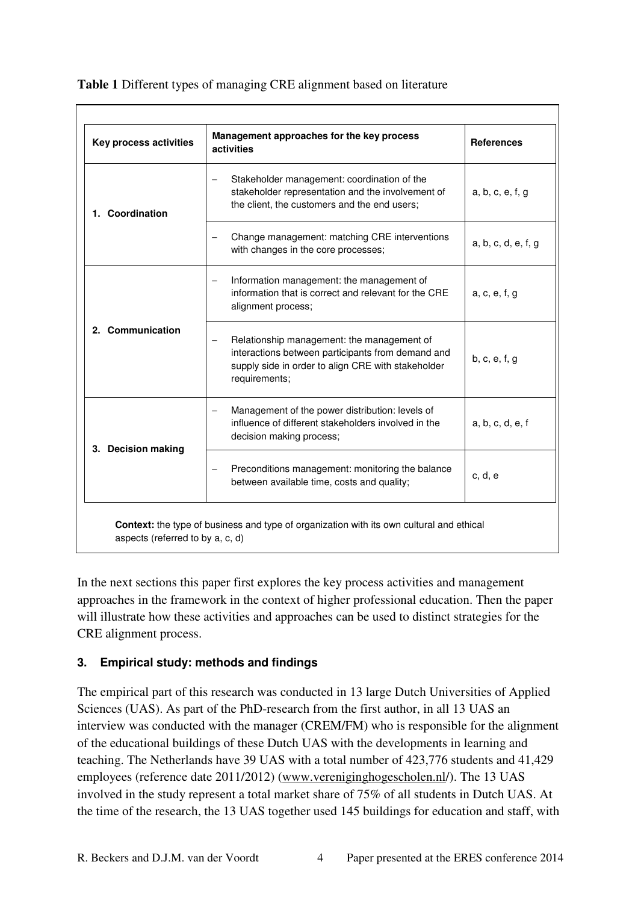| Key process activities | Management approaches for the key process<br>activities                                                                                                                      | <b>References</b>   |  |  |
|------------------------|------------------------------------------------------------------------------------------------------------------------------------------------------------------------------|---------------------|--|--|
| 1. Coordination        | Stakeholder management: coordination of the<br>$\overline{\phantom{0}}$<br>stakeholder representation and the involvement of<br>the client, the customers and the end users; | a, b, c, e, f, g    |  |  |
|                        | Change management: matching CRE interventions<br>with changes in the core processes;                                                                                         | a, b, c, d, e, f, g |  |  |
|                        | Information management: the management of<br>$\overline{\phantom{0}}$<br>information that is correct and relevant for the CRE<br>alignment process;                          | a, c, e, f, g       |  |  |
| 2. Communication       | Relationship management: the management of<br>interactions between participants from demand and<br>supply side in order to align CRE with stakeholder<br>requirements;       | b, c, e, f, g       |  |  |
|                        | Management of the power distribution: levels of<br>influence of different stakeholders involved in the<br>decision making process;                                           | a, b, c, d, e, f    |  |  |
| 3. Decision making     | Preconditions management: monitoring the balance<br>between available time, costs and quality;                                                                               | c. d. e             |  |  |

**Table 1** Different types of managing CRE alignment based on literature

In the next sections this paper first explores the key process activities and management approaches in the framework in the context of higher professional education. Then the paper will illustrate how these activities and approaches can be used to distinct strategies for the CRE alignment process.

# **3. Empirical study: methods and findings**

The empirical part of this research was conducted in 13 large Dutch Universities of Applied Sciences (UAS). As part of the PhD-research from the first author, in all 13 UAS an interview was conducted with the manager (CREM/FM) who is responsible for the alignment of the educational buildings of these Dutch UAS with the developments in learning and teaching. The Netherlands have 39 UAS with a total number of 423,776 students and 41,429 employees (reference date 2011/2012) (www.vereniginghogescholen.nl/). The 13 UAS involved in the study represent a total market share of 75% of all students in Dutch UAS. At the time of the research, the 13 UAS together used 145 buildings for education and staff, with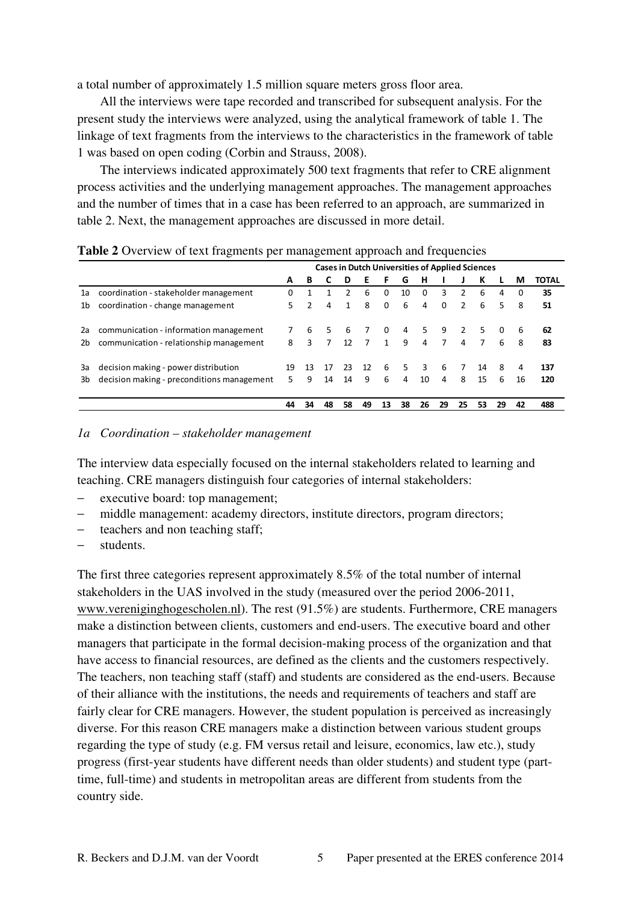a total number of approximately 1.5 million square meters gross floor area.

 All the interviews were tape recorded and transcribed for subsequent analysis. For the present study the interviews were analyzed, using the analytical framework of table 1. The linkage of text fragments from the interviews to the characteristics in the framework of table 1 was based on open coding (Corbin and Strauss, 2008).

 The interviews indicated approximately 500 text fragments that refer to CRE alignment process activities and the underlying management approaches. The management approaches and the number of times that in a case has been referred to an approach, are summarized in table 2. Next, the management approaches are discussed in more detail.

|    | ്                                          |    | ັ             |    |                 | . .            |              |                                                        |          |                |                |                |          |          |              |
|----|--------------------------------------------|----|---------------|----|-----------------|----------------|--------------|--------------------------------------------------------|----------|----------------|----------------|----------------|----------|----------|--------------|
|    |                                            |    |               |    |                 |                |              | <b>Cases in Dutch Universities of Applied Sciences</b> |          |                |                |                |          |          |              |
|    |                                            | A  | в             |    | D               | F              | F            | G                                                      | н        |                |                | К              |          | М        | <b>TOTAL</b> |
| 1a | coordination - stakeholder management      | 0  |               |    | $\mathcal{P}$   | 6              | $\Omega$     | 10                                                     | $\Omega$ | 3              | $\mathcal{P}$  | 6              | 4        | $\Omega$ | 35           |
| 1b | coordination - change management           | 5. | $\mathcal{P}$ | 4  | 1               | 8              | $\Omega$     | 6                                                      | 4        | $\Omega$       | $\mathcal{P}$  | 6              | 5.       | 8        | 51           |
| 2a | communication - information management     |    | 6             | 5. | 6               |                | $\Omega$     | 4                                                      | 5.       | 9              |                | 5.             | $\Omega$ | 6        | 62           |
| 2b | communication - relationship management    | 8  | 3             | 7  | 12 <sup>1</sup> | $\overline{7}$ | $\mathbf{1}$ | 9                                                      | 4        | $\overline{7}$ | $\overline{a}$ | $\overline{7}$ | 6        | 8        | 83           |
| За | decision making - power distribution       | 19 | 13            | 17 | 23              | 12             | 6            | 5.                                                     | 3        | 6              | 7              | 14             | 8        | 4        | 137          |
| 3b | decision making - preconditions management | 5. | q             | 14 | 14              | 9              | 6            | 4                                                      | 10       | 4              | 8              | 15             | 6        | 16       | 120          |
|    |                                            | 44 | 34            | 48 | 58              | 49             | 13           | 38                                                     | 26       | 29             | 25             | 53             | 29       | 42       | 488          |

**Table 2** Overview of text fragments per management approach and frequencies

#### *1a Coordination – stakeholder management*

The interview data especially focused on the internal stakeholders related to learning and teaching. CRE managers distinguish four categories of internal stakeholders:

- executive board: top management;
- − middle management: academy directors, institute directors, program directors;
- teachers and non teaching staff;
- − students.

The first three categories represent approximately 8.5% of the total number of internal stakeholders in the UAS involved in the study (measured over the period 2006-2011, www.vereniginghogescholen.nl). The rest (91.5%) are students. Furthermore, CRE managers make a distinction between clients, customers and end-users. The executive board and other managers that participate in the formal decision-making process of the organization and that have access to financial resources, are defined as the clients and the customers respectively. The teachers, non teaching staff (staff) and students are considered as the end-users. Because of their alliance with the institutions, the needs and requirements of teachers and staff are fairly clear for CRE managers. However, the student population is perceived as increasingly diverse. For this reason CRE managers make a distinction between various student groups regarding the type of study (e.g. FM versus retail and leisure, economics, law etc.), study progress (first-year students have different needs than older students) and student type (parttime, full-time) and students in metropolitan areas are different from students from the country side.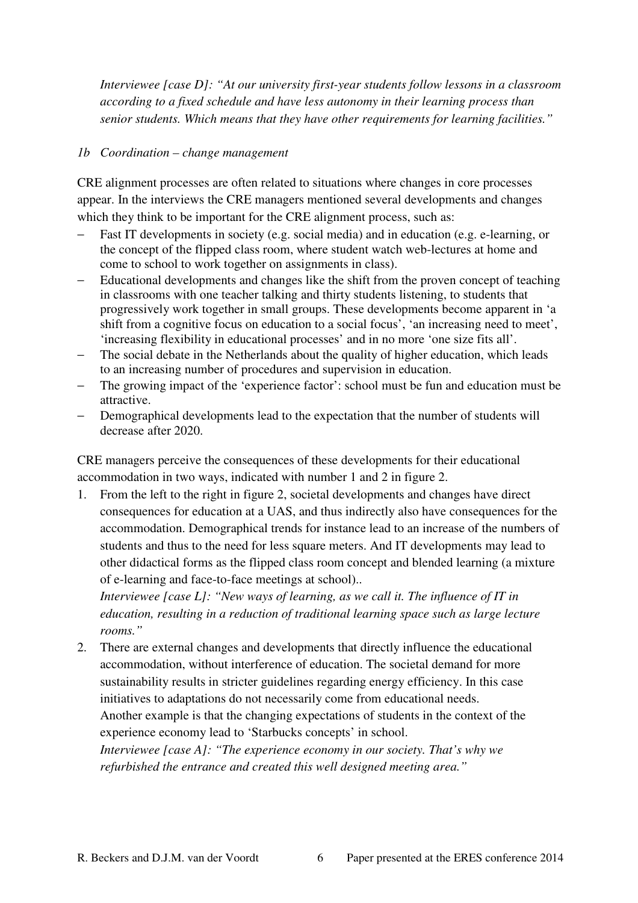*Interviewee [case D]: "At our university first-year students follow lessons in a classroom according to a fixed schedule and have less autonomy in their learning process than senior students. Which means that they have other requirements for learning facilities."* 

## *1b Coordination – change management*

CRE alignment processes are often related to situations where changes in core processes appear. In the interviews the CRE managers mentioned several developments and changes which they think to be important for the CRE alignment process, such as:

- Fast IT developments in society (e.g. social media) and in education (e.g. e-learning, or the concept of the flipped class room, where student watch web-lectures at home and come to school to work together on assignments in class).
- − Educational developments and changes like the shift from the proven concept of teaching in classrooms with one teacher talking and thirty students listening, to students that progressively work together in small groups. These developments become apparent in 'a shift from a cognitive focus on education to a social focus', 'an increasing need to meet', 'increasing flexibility in educational processes' and in no more 'one size fits all'.
- The social debate in the Netherlands about the quality of higher education, which leads to an increasing number of procedures and supervision in education.
- The growing impact of the 'experience factor': school must be fun and education must be attractive.
- − Demographical developments lead to the expectation that the number of students will decrease after 2020.

CRE managers perceive the consequences of these developments for their educational accommodation in two ways, indicated with number 1 and 2 in figure 2.

1. From the left to the right in figure 2, societal developments and changes have direct consequences for education at a UAS, and thus indirectly also have consequences for the accommodation. Demographical trends for instance lead to an increase of the numbers of students and thus to the need for less square meters. And IT developments may lead to other didactical forms as the flipped class room concept and blended learning (a mixture of e-learning and face-to-face meetings at school)..

*Interviewee [case L]: "New ways of learning, as we call it. The influence of IT in education, resulting in a reduction of traditional learning space such as large lecture rooms."* 

2. There are external changes and developments that directly influence the educational accommodation, without interference of education. The societal demand for more sustainability results in stricter guidelines regarding energy efficiency. In this case initiatives to adaptations do not necessarily come from educational needs. Another example is that the changing expectations of students in the context of the

experience economy lead to 'Starbucks concepts' in school.

*Interviewee [case A]: "The experience economy in our society. That's why we refurbished the entrance and created this well designed meeting area."*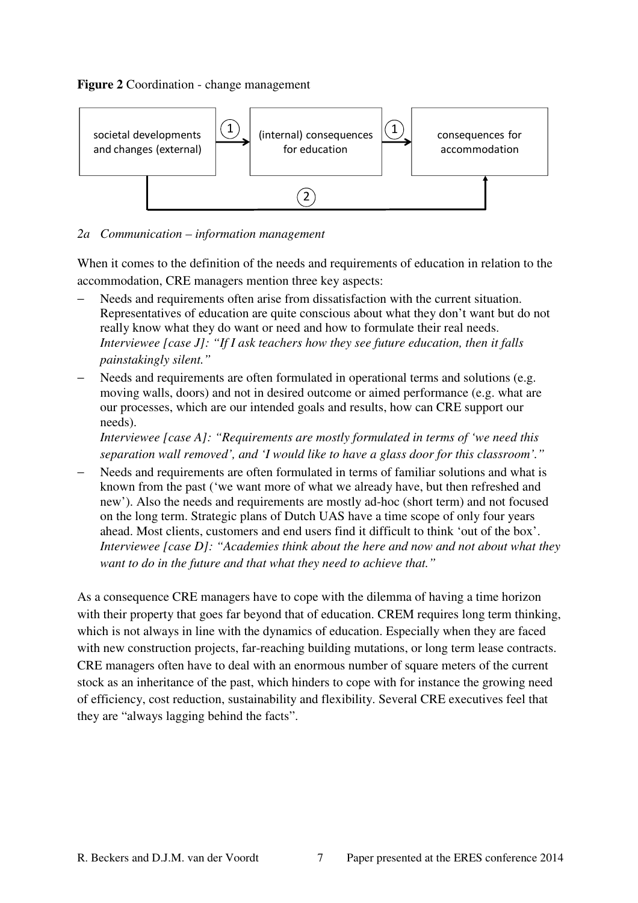### **Figure 2** Coordination - change management



## *2a Communication – information management*

When it comes to the definition of the needs and requirements of education in relation to the accommodation, CRE managers mention three key aspects:

- Needs and requirements often arise from dissatisfaction with the current situation. Representatives of education are quite conscious about what they don't want but do not really know what they do want or need and how to formulate their real needs. *Interviewee [case J]: "If I ask teachers how they see future education, then it falls painstakingly silent."*
- Needs and requirements are often formulated in operational terms and solutions (e.g. moving walls, doors) and not in desired outcome or aimed performance (e.g. what are our processes, which are our intended goals and results, how can CRE support our needs).

*Interviewee [case A]: "Requirements are mostly formulated in terms of 'we need this separation wall removed', and 'I would like to have a glass door for this classroom'."* 

− Needs and requirements are often formulated in terms of familiar solutions and what is known from the past ('we want more of what we already have, but then refreshed and new'). Also the needs and requirements are mostly ad-hoc (short term) and not focused on the long term. Strategic plans of Dutch UAS have a time scope of only four years ahead. Most clients, customers and end users find it difficult to think 'out of the box'. *Interviewee [case D]: "Academies think about the here and now and not about what they want to do in the future and that what they need to achieve that."* 

As a consequence CRE managers have to cope with the dilemma of having a time horizon with their property that goes far beyond that of education. CREM requires long term thinking, which is not always in line with the dynamics of education. Especially when they are faced with new construction projects, far-reaching building mutations, or long term lease contracts. CRE managers often have to deal with an enormous number of square meters of the current stock as an inheritance of the past, which hinders to cope with for instance the growing need of efficiency, cost reduction, sustainability and flexibility. Several CRE executives feel that they are "always lagging behind the facts".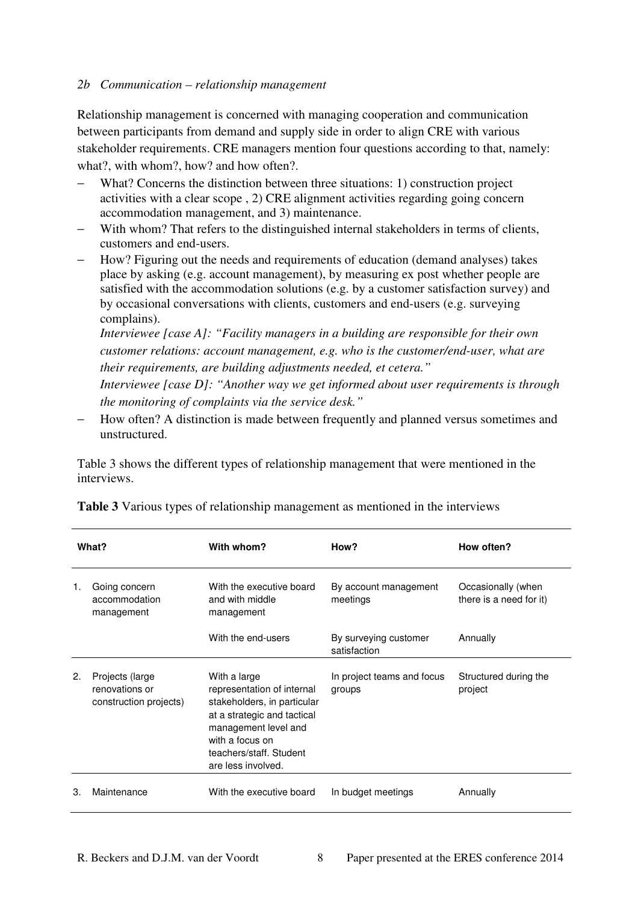### *2b Communication – relationship management*

Relationship management is concerned with managing cooperation and communication between participants from demand and supply side in order to align CRE with various stakeholder requirements. CRE managers mention four questions according to that, namely: what?, with whom?, how? and how often?.

- − What? Concerns the distinction between three situations: 1) construction project activities with a clear scope , 2) CRE alignment activities regarding going concern accommodation management, and 3) maintenance.
- With whom? That refers to the distinguished internal stakeholders in terms of clients, customers and end-users.
- − How? Figuring out the needs and requirements of education (demand analyses) takes place by asking (e.g. account management), by measuring ex post whether people are satisfied with the accommodation solutions (e.g. by a customer satisfaction survey) and by occasional conversations with clients, customers and end-users (e.g. surveying complains).

*Interviewee [case A]: "Facility managers in a building are responsible for their own customer relations: account management, e.g. who is the customer/end-user, what are their requirements, are building adjustments needed, et cetera."* 

*Interviewee [case D]: "Another way we get informed about user requirements is through the monitoring of complaints via the service desk."*

− How often? A distinction is made between frequently and planned versus sometimes and unstructured.

Table 3 shows the different types of relationship management that were mentioned in the interviews.

| What? |                                                                                                           | With whom?                                                                                                                                                                                           | How?                                  | How often?                                    |  |  |
|-------|-----------------------------------------------------------------------------------------------------------|------------------------------------------------------------------------------------------------------------------------------------------------------------------------------------------------------|---------------------------------------|-----------------------------------------------|--|--|
| 1.    | Going concern<br>With the executive board<br>accommodation<br>and with middle<br>management<br>management |                                                                                                                                                                                                      | By account management<br>meetings     | Occasionally (when<br>there is a need for it) |  |  |
|       |                                                                                                           | With the end-users                                                                                                                                                                                   | By surveying customer<br>satisfaction | Annually                                      |  |  |
| 2.    | Projects (large<br>renovations or<br>construction projects)                                               | With a large<br>representation of internal<br>stakeholders, in particular<br>at a strategic and tactical<br>management level and<br>with a focus on<br>teachers/staff, Student<br>are less involved. | In project teams and focus<br>groups  | Structured during the<br>project              |  |  |
| 3.    | Maintenance                                                                                               | With the executive board                                                                                                                                                                             | In budget meetings                    | Annually                                      |  |  |

**Table 3** Various types of relationship management as mentioned in the interviews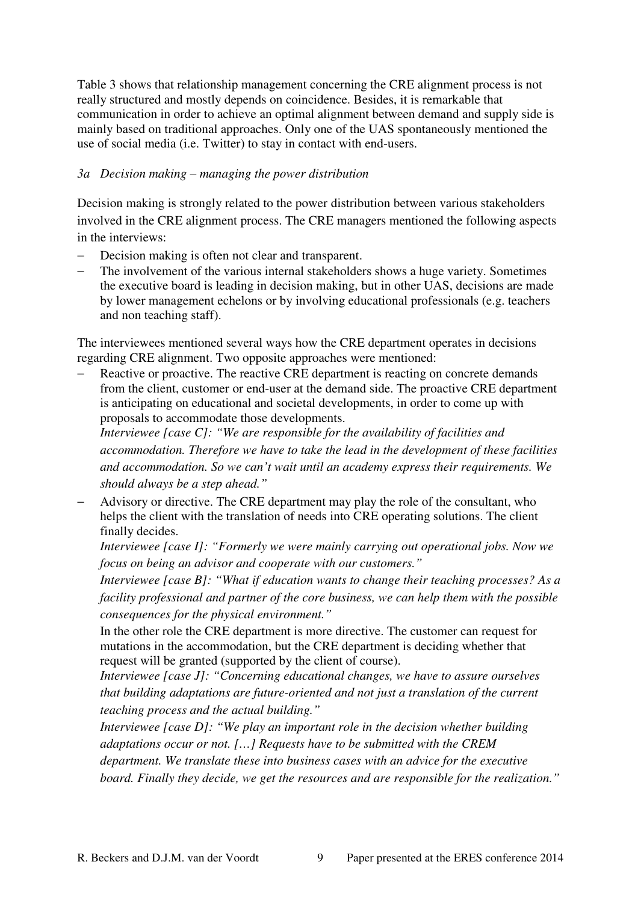Table 3 shows that relationship management concerning the CRE alignment process is not really structured and mostly depends on coincidence. Besides, it is remarkable that communication in order to achieve an optimal alignment between demand and supply side is mainly based on traditional approaches. Only one of the UAS spontaneously mentioned the use of social media (i.e. Twitter) to stay in contact with end-users.

## *3a Decision making – managing the power distribution*

Decision making is strongly related to the power distribution between various stakeholders involved in the CRE alignment process. The CRE managers mentioned the following aspects in the interviews:

- − Decision making is often not clear and transparent.
- The involvement of the various internal stakeholders shows a huge variety. Sometimes the executive board is leading in decision making, but in other UAS, decisions are made by lower management echelons or by involving educational professionals (e.g. teachers and non teaching staff).

The interviewees mentioned several ways how the CRE department operates in decisions regarding CRE alignment. Two opposite approaches were mentioned:

Reactive or proactive. The reactive CRE department is reacting on concrete demands from the client, customer or end-user at the demand side. The proactive CRE department is anticipating on educational and societal developments, in order to come up with proposals to accommodate those developments.

*Interviewee [case C]: "We are responsible for the availability of facilities and accommodation. Therefore we have to take the lead in the development of these facilities and accommodation. So we can't wait until an academy express their requirements. We should always be a step ahead."* 

Advisory or directive. The CRE department may play the role of the consultant, who helps the client with the translation of needs into CRE operating solutions. The client finally decides.

*Interviewee [case I]: "Formerly we were mainly carrying out operational jobs. Now we focus on being an advisor and cooperate with our customers."* 

*Interviewee [case B]: "What if education wants to change their teaching processes? As a facility professional and partner of the core business, we can help them with the possible consequences for the physical environment."* 

In the other role the CRE department is more directive. The customer can request for mutations in the accommodation, but the CRE department is deciding whether that request will be granted (supported by the client of course).

*Interviewee [case J]: "Concerning educational changes, we have to assure ourselves that building adaptations are future-oriented and not just a translation of the current teaching process and the actual building."* 

*Interviewee [case D]: "We play an important role in the decision whether building adaptations occur or not. […] Requests have to be submitted with the CREM department. We translate these into business cases with an advice for the executive board. Finally they decide, we get the resources and are responsible for the realization."*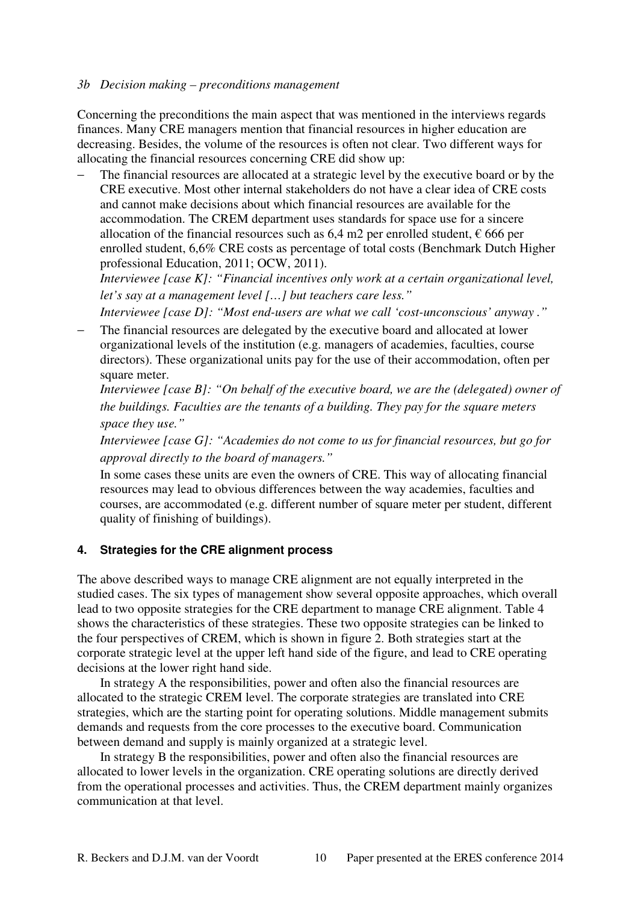#### *3b Decision making – preconditions management*

Concerning the preconditions the main aspect that was mentioned in the interviews regards finances. Many CRE managers mention that financial resources in higher education are decreasing. Besides, the volume of the resources is often not clear. Two different ways for allocating the financial resources concerning CRE did show up:

The financial resources are allocated at a strategic level by the executive board or by the CRE executive. Most other internal stakeholders do not have a clear idea of CRE costs and cannot make decisions about which financial resources are available for the accommodation. The CREM department uses standards for space use for a sincere allocation of the financial resources such as 6,4 m2 per enrolled student,  $\epsilon$  666 per enrolled student, 6,6% CRE costs as percentage of total costs (Benchmark Dutch Higher professional Education, 2011; OCW, 2011).

*Interviewee [case K]: "Financial incentives only work at a certain organizational level, let's say at a management level […] but teachers care less."* 

*Interviewee [case D]: "Most end-users are what we call 'cost-unconscious' anyway ."* 

The financial resources are delegated by the executive board and allocated at lower organizational levels of the institution (e.g. managers of academies, faculties, course directors). These organizational units pay for the use of their accommodation, often per square meter.

*Interviewee [case B]: "On behalf of the executive board, we are the (delegated) owner of the buildings. Faculties are the tenants of a building. They pay for the square meters space they use."* 

*Interviewee [case G]: "Academies do not come to us for financial resources, but go for approval directly to the board of managers."* 

In some cases these units are even the owners of CRE. This way of allocating financial resources may lead to obvious differences between the way academies, faculties and courses, are accommodated (e.g. different number of square meter per student, different quality of finishing of buildings).

#### **4. Strategies for the CRE alignment process**

The above described ways to manage CRE alignment are not equally interpreted in the studied cases. The six types of management show several opposite approaches, which overall lead to two opposite strategies for the CRE department to manage CRE alignment. Table 4 shows the characteristics of these strategies. These two opposite strategies can be linked to the four perspectives of CREM, which is shown in figure 2. Both strategies start at the corporate strategic level at the upper left hand side of the figure, and lead to CRE operating decisions at the lower right hand side.

 In strategy A the responsibilities, power and often also the financial resources are allocated to the strategic CREM level. The corporate strategies are translated into CRE strategies, which are the starting point for operating solutions. Middle management submits demands and requests from the core processes to the executive board. Communication between demand and supply is mainly organized at a strategic level.

 In strategy B the responsibilities, power and often also the financial resources are allocated to lower levels in the organization. CRE operating solutions are directly derived from the operational processes and activities. Thus, the CREM department mainly organizes communication at that level.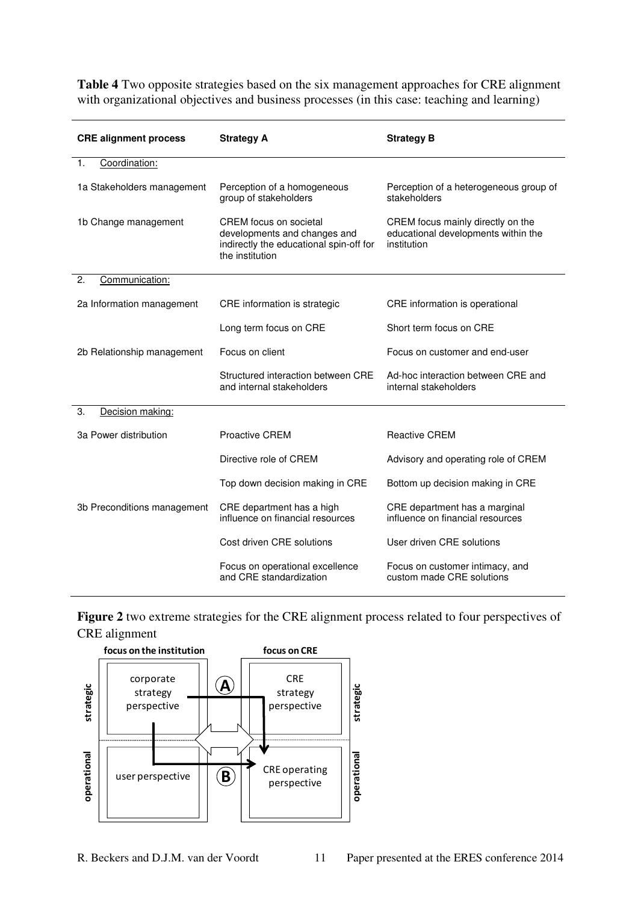**Table 4** Two opposite strategies based on the six management approaches for CRE alignment with organizational objectives and business processes (in this case: teaching and learning)

| <b>CRE alignment process</b> | <b>Strategy A</b>                                                                                                    | <b>Strategy B</b>                                                                       |  |  |  |
|------------------------------|----------------------------------------------------------------------------------------------------------------------|-----------------------------------------------------------------------------------------|--|--|--|
| Coordination:<br>1.          |                                                                                                                      |                                                                                         |  |  |  |
| 1a Stakeholders management   | Perception of a homogeneous<br>group of stakeholders                                                                 | Perception of a heterogeneous group of<br>stakeholders                                  |  |  |  |
| 1b Change management         | CREM focus on societal<br>developments and changes and<br>indirectly the educational spin-off for<br>the institution | CREM focus mainly directly on the<br>educational developments within the<br>institution |  |  |  |
| 2.<br>Communication:         |                                                                                                                      |                                                                                         |  |  |  |
| 2a Information management    | CRE information is strategic                                                                                         | CRE information is operational                                                          |  |  |  |
|                              | Long term focus on CRE                                                                                               | Short term focus on CRE                                                                 |  |  |  |
| 2b Relationship management   | Focus on client                                                                                                      | Focus on customer and end-user                                                          |  |  |  |
|                              | Structured interaction between CRE<br>and internal stakeholders                                                      | Ad-hoc interaction between CRE and<br>internal stakeholders                             |  |  |  |
| Decision making:<br>3.       |                                                                                                                      |                                                                                         |  |  |  |
| 3a Power distribution        | <b>Proactive CREM</b>                                                                                                | <b>Reactive CREM</b>                                                                    |  |  |  |
|                              | Directive role of CREM                                                                                               | Advisory and operating role of CREM                                                     |  |  |  |
|                              | Top down decision making in CRE                                                                                      | Bottom up decision making in CRE                                                        |  |  |  |
| 3b Preconditions management  | CRE department has a high<br>influence on financial resources                                                        | CRE department has a marginal<br>influence on financial resources                       |  |  |  |
|                              | Cost driven CRE solutions                                                                                            | User driven CRE solutions                                                               |  |  |  |
|                              | Focus on operational excellence<br>and CRE standardization                                                           | Focus on customer intimacy, and<br>custom made CRE solutions                            |  |  |  |

**Figure 2** two extreme strategies for the CRE alignment process related to four perspectives of CRE alignment

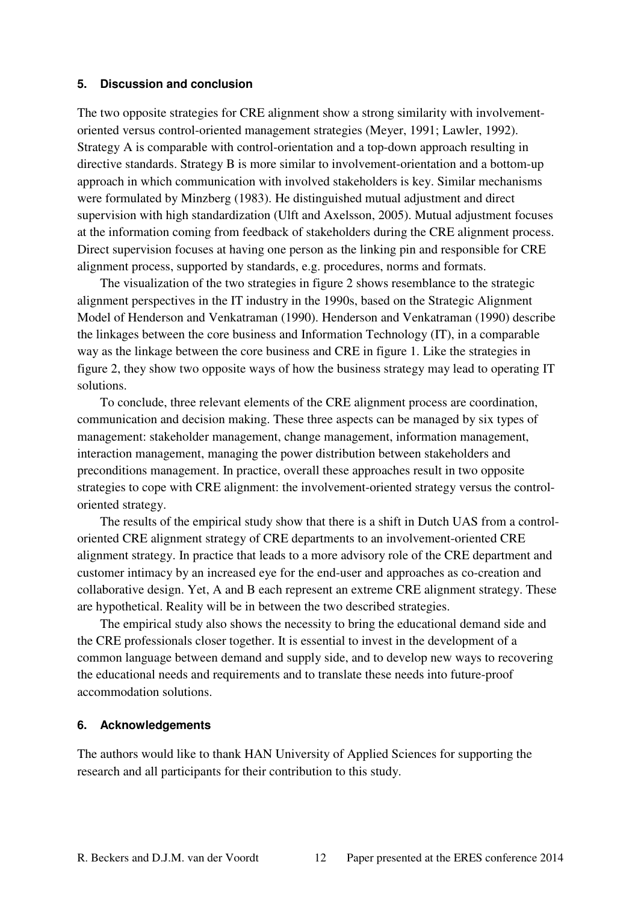#### **5. Discussion and conclusion**

The two opposite strategies for CRE alignment show a strong similarity with involvementoriented versus control-oriented management strategies (Meyer, 1991; Lawler, 1992). Strategy A is comparable with control-orientation and a top-down approach resulting in directive standards. Strategy B is more similar to involvement-orientation and a bottom-up approach in which communication with involved stakeholders is key. Similar mechanisms were formulated by Minzberg (1983). He distinguished mutual adjustment and direct supervision with high standardization (Ulft and Axelsson, 2005). Mutual adjustment focuses at the information coming from feedback of stakeholders during the CRE alignment process. Direct supervision focuses at having one person as the linking pin and responsible for CRE alignment process, supported by standards, e.g. procedures, norms and formats.

 The visualization of the two strategies in figure 2 shows resemblance to the strategic alignment perspectives in the IT industry in the 1990s, based on the Strategic Alignment Model of Henderson and Venkatraman (1990). Henderson and Venkatraman (1990) describe the linkages between the core business and Information Technology (IT), in a comparable way as the linkage between the core business and CRE in figure 1. Like the strategies in figure 2, they show two opposite ways of how the business strategy may lead to operating IT solutions.

 To conclude, three relevant elements of the CRE alignment process are coordination, communication and decision making. These three aspects can be managed by six types of management: stakeholder management, change management, information management, interaction management, managing the power distribution between stakeholders and preconditions management. In practice, overall these approaches result in two opposite strategies to cope with CRE alignment: the involvement-oriented strategy versus the controloriented strategy.

 The results of the empirical study show that there is a shift in Dutch UAS from a controloriented CRE alignment strategy of CRE departments to an involvement-oriented CRE alignment strategy. In practice that leads to a more advisory role of the CRE department and customer intimacy by an increased eye for the end-user and approaches as co-creation and collaborative design. Yet, A and B each represent an extreme CRE alignment strategy. These are hypothetical. Reality will be in between the two described strategies.

 The empirical study also shows the necessity to bring the educational demand side and the CRE professionals closer together. It is essential to invest in the development of a common language between demand and supply side, and to develop new ways to recovering the educational needs and requirements and to translate these needs into future-proof accommodation solutions.

#### **6. Acknowledgements**

The authors would like to thank HAN University of Applied Sciences for supporting the research and all participants for their contribution to this study.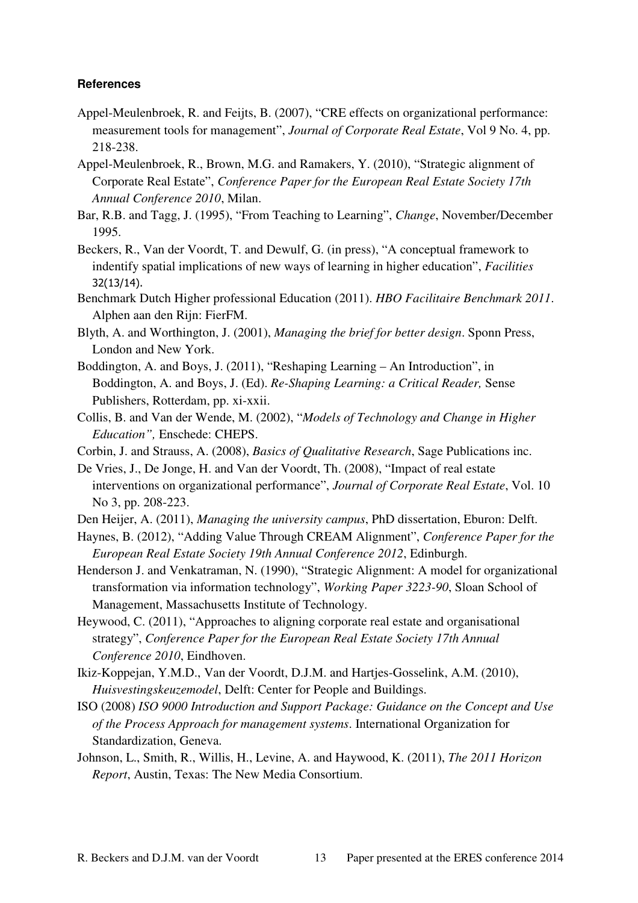#### **References**

- Appel-Meulenbroek, R. and Feijts, B. (2007), "CRE effects on organizational performance: measurement tools for management", *Journal of Corporate Real Estate*, Vol 9 No. 4, pp. 218-238.
- Appel-Meulenbroek, R., Brown, M.G. and Ramakers, Y. (2010), "Strategic alignment of Corporate Real Estate", *Conference Paper for the European Real Estate Society 17th Annual Conference 2010*, Milan.
- Bar, R.B. and Tagg, J. (1995), "From Teaching to Learning", *Change*, November/December 1995.
- Beckers, R., Van der Voordt, T. and Dewulf, G. (in press), "A conceptual framework to indentify spatial implications of new ways of learning in higher education", *Facilities* 32(13/14).
- Benchmark Dutch Higher professional Education (2011). *HBO Facilitaire Benchmark 2011*. Alphen aan den Rijn: FierFM.
- Blyth, A. and Worthington, J. (2001), *Managing the brief for better design*. Sponn Press, London and New York.
- Boddington, A. and Boys, J. (2011), "Reshaping Learning An Introduction", in Boddington, A. and Boys, J. (Ed). *Re-Shaping Learning: a Critical Reader,* Sense Publishers, Rotterdam, pp. xi-xxii.
- Collis, B. and Van der Wende, M. (2002), "*Models of Technology and Change in Higher Education",* Enschede: CHEPS.
- Corbin, J. and Strauss, A. (2008), *Basics of Qualitative Research*, Sage Publications inc.
- De Vries, J., De Jonge, H. and Van der Voordt, Th. (2008), "Impact of real estate interventions on organizational performance", *Journal of Corporate Real Estate*, Vol. 10 No 3, pp. 208-223.
- Den Heijer, A. (2011), *Managing the university campus*, PhD dissertation, Eburon: Delft.
- Haynes, B. (2012), "Adding Value Through CREAM Alignment", *Conference Paper for the European Real Estate Society 19th Annual Conference 2012*, Edinburgh.
- Henderson J. and Venkatraman, N. (1990), "Strategic Alignment: A model for organizational transformation via information technology", *Working Paper 3223-90*, Sloan School of Management, Massachusetts Institute of Technology.
- Heywood, C. (2011), "Approaches to aligning corporate real estate and organisational strategy", *Conference Paper for the European Real Estate Society 17th Annual Conference 2010*, Eindhoven.
- Ikiz-Koppejan, Y.M.D., Van der Voordt, D.J.M. and Hartjes-Gosselink, A.M. (2010), *Huisvestingskeuzemodel*, Delft: Center for People and Buildings.
- ISO (2008) *ISO 9000 Introduction and Support Package: Guidance on the Concept and Use of the Process Approach for management systems*. International Organization for Standardization, Geneva.
- Johnson, L., Smith, R., Willis, H., Levine, A. and Haywood, K. (2011), *The 2011 Horizon Report*, Austin, Texas: The New Media Consortium.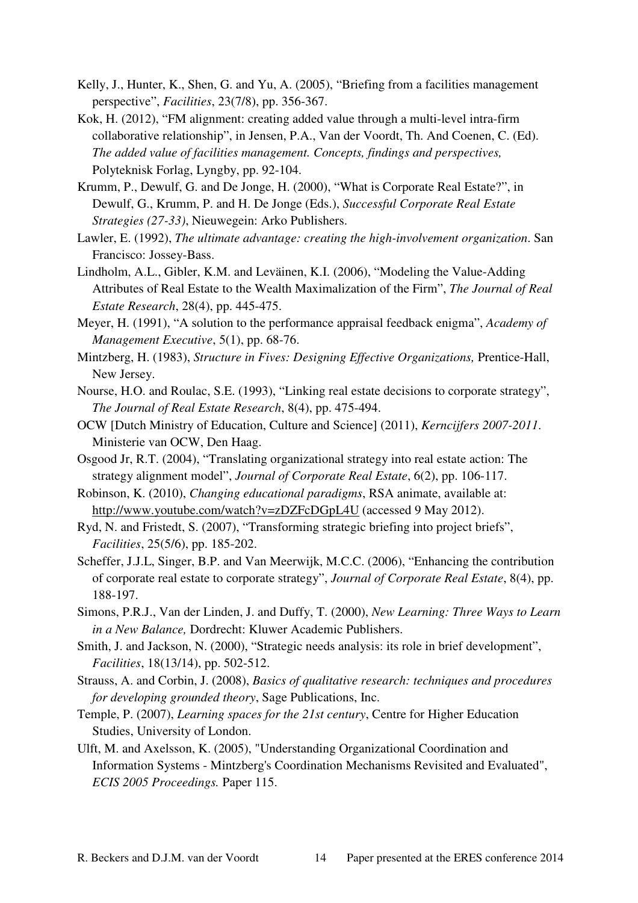- Kelly, J., Hunter, K., Shen, G. and Yu, A. (2005), "Briefing from a facilities management perspective", *Facilities*, 23(7/8), pp. 356-367.
- Kok, H. (2012), "FM alignment: creating added value through a multi-level intra-firm collaborative relationship", in Jensen, P.A., Van der Voordt, Th. And Coenen, C. (Ed). *The added value of facilities management. Concepts, findings and perspectives,*  Polyteknisk Forlag, Lyngby, pp. 92-104.
- Krumm, P., Dewulf, G. and De Jonge, H. (2000), "What is Corporate Real Estate?", in Dewulf, G., Krumm, P. and H. De Jonge (Eds.), *Successful Corporate Real Estate Strategies (27-33)*, Nieuwegein: Arko Publishers.
- Lawler, E. (1992), *The ultimate advantage: creating the high-involvement organization*. San Francisco: Jossey-Bass.
- Lindholm, A.L., Gibler, K.M. and Leväinen, K.I. (2006), "Modeling the Value-Adding Attributes of Real Estate to the Wealth Maximalization of the Firm", *The Journal of Real Estate Research*, 28(4), pp. 445-475.
- Meyer, H. (1991), "A solution to the performance appraisal feedback enigma", *Academy of Management Executive*, 5(1), pp. 68-76.
- Mintzberg, H. (1983), *Structure in Fives: Designing Effective Organizations,* Prentice-Hall, New Jersey.
- Nourse, H.O. and Roulac, S.E. (1993), "Linking real estate decisions to corporate strategy", *The Journal of Real Estate Research*, 8(4), pp. 475-494.
- OCW [Dutch Ministry of Education, Culture and Science] (2011), *Kerncijfers 2007-2011*. Ministerie van OCW, Den Haag.
- Osgood Jr, R.T. (2004), "Translating organizational strategy into real estate action: The strategy alignment model", *Journal of Corporate Real Estate*, 6(2), pp. 106-117.
- Robinson, K. (2010), *Changing educational paradigms*, RSA animate, available at: http://www.youtube.com/watch?v=zDZFcDGpL4U (accessed 9 May 2012).
- Ryd, N. and Fristedt, S. (2007), "Transforming strategic briefing into project briefs", *Facilities*, 25(5/6), pp. 185-202.
- Scheffer, J.J.L, Singer, B.P. and Van Meerwijk, M.C.C. (2006), "Enhancing the contribution of corporate real estate to corporate strategy", *Journal of Corporate Real Estate*, 8(4), pp. 188-197.
- Simons, P.R.J., Van der Linden, J. and Duffy, T. (2000), *New Learning: Three Ways to Learn in a New Balance,* Dordrecht: Kluwer Academic Publishers.
- Smith, J. and Jackson, N. (2000), "Strategic needs analysis: its role in brief development", *Facilities*, 18(13/14), pp. 502-512.
- Strauss, A. and Corbin, J. (2008), *Basics of qualitative research: techniques and procedures for developing grounded theory*, Sage Publications, Inc.
- Temple, P. (2007), *Learning spaces for the 21st century*, Centre for Higher Education Studies, University of London.
- Ulft, M. and Axelsson, K. (2005), "Understanding Organizational Coordination and Information Systems - Mintzberg's Coordination Mechanisms Revisited and Evaluated", *ECIS 2005 Proceedings.* Paper 115.